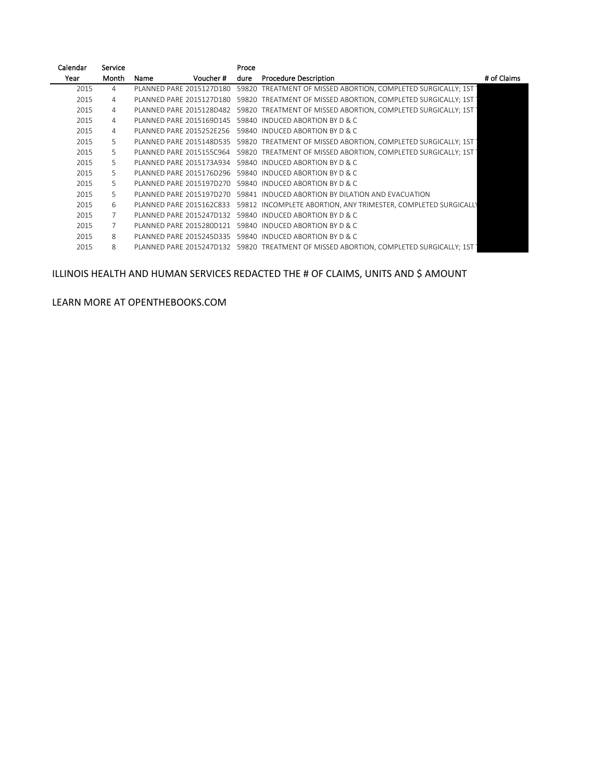| Calendar | Service        |                          | Proce |                                                                                        |             |
|----------|----------------|--------------------------|-------|----------------------------------------------------------------------------------------|-------------|
| Year     | Month          | Voucher #<br>Name        | dure  | <b>Procedure Description</b>                                                           | # of Claims |
| 2015     | $\overline{4}$ | PLANNED PARE 2015127D180 |       | 59820 TREATMENT OF MISSED ABORTION. COMPLETED SURGICALLY: 1ST                          |             |
| 2015     | $\overline{4}$ | PLANNED PARE 2015127D180 |       | 59820 TREATMENT OF MISSED ABORTION, COMPLETED SURGICALLY; 1ST                          |             |
| 2015     | $\overline{4}$ | PLANNED PARE 2015128D482 |       | 59820 TREATMENT OF MISSED ABORTION, COMPLETED SURGICALLY; 1ST                          |             |
| 2015     | $\overline{4}$ | PLANNED PARE 2015169D145 |       | 59840 INDUCED ABORTION BY D & C                                                        |             |
| 2015     | $\overline{4}$ | PLANNED PARE 2015252E256 |       | 59840 INDUCED ABORTION BY D & C                                                        |             |
| 2015     | 5              | PLANNED PARE 2015148D535 |       | 59820 TREATMENT OF MISSED ABORTION, COMPLETED SURGICALLY; 1ST                          |             |
| 2015     | 5              | PLANNED PARE 2015155C964 |       | 59820 TREATMENT OF MISSED ABORTION, COMPLETED SURGICALLY; 1ST                          |             |
| 2015     | 5              | PLANNED PARE 2015173A934 |       | 59840 INDUCED ABORTION BY D & C                                                        |             |
| 2015     | 5              | PLANNED PARE 2015176D296 |       | 59840 INDUCED ABORTION BY D & C                                                        |             |
| 2015     | 5              |                          |       | PLANNED PARE 2015197D270 59840 INDUCED ABORTION BY D & C                               |             |
| 2015     | 5.             |                          |       | PLANNED PARE 2015197D270 59841 INDUCED ABORTION BY DILATION AND EVACUATION             |             |
| 2015     | 6              | PLANNED PARE 2015162C833 |       | 59812 INCOMPLETE ABORTION, ANY TRIMESTER, COMPLETED SURGICALLY                         |             |
| 2015     | 7              |                          |       | PLANNED PARE 2015247D132 59840 INDUCED ABORTION BY D & C.                              |             |
| 2015     | 7              |                          |       | PLANNED PARE 2015280D121 59840 INDUCED ABORTION BY D & C.                              |             |
| 2015     | 8              | PLANNED PARE 2015245D335 |       | 59840 INDUCED ABORTION BY D & C                                                        |             |
| 2015     | 8              |                          |       | PLANNED PARE 2015247D132 59820 TREATMENT OF MISSED ABORTION. COMPLETED SURGICALLY: 1ST |             |
|          |                |                          |       |                                                                                        |             |

## ILLINOIS HEALTH AND HUMAN SERVICES REDACTED THE # OF CLAIMS, UNITS AND \$ AMOUNT

LEARN MORE AT OPENTHEBOOKS.COM